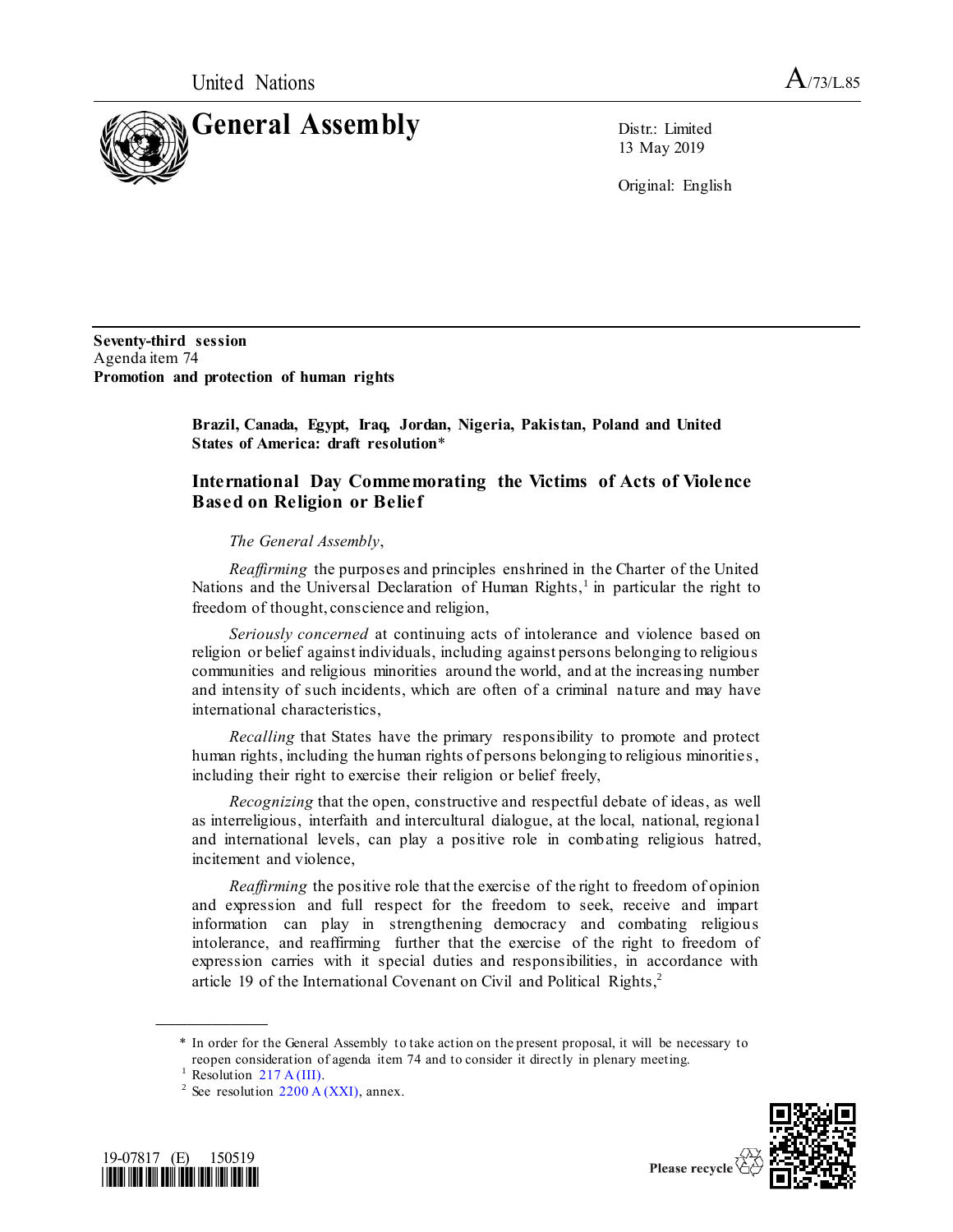

13 May 2019

Original: English

**Seventy-third session** Agenda item 74 **Promotion and protection of human rights**

> **Brazil, Canada, Egypt, Iraq, Jordan, Nigeria, Pakistan, Poland and United States of America: draft resolution**\*

## **International Day Commemorating the Victims of Acts of Violence Based on Religion or Belief**

## *The General Assembly*,

*Reaffirming* the purposes and principles enshrined in the Charter of the United Nations and the Universal Declaration of Human Rights,<sup>1</sup> in particular the right to freedom of thought, conscience and religion,

*Seriously concerned* at continuing acts of intolerance and violence based on religion or belief against individuals, including against persons belonging to religious communities and religious minorities around the world, and at the increasing number and intensity of such incidents, which are often of a criminal nature and may have international characteristics,

*Recalling* that States have the primary responsibility to promote and protect human rights, including the human rights of persons belonging to religious minorities , including their right to exercise their religion or belief freely,

*Recognizing* that the open, constructive and respectful debate of ideas, as well as interreligious, interfaith and intercultural dialogue, at the local, national, regional and international levels, can play a positive role in combating religious hatred, incitement and violence,

*Reaffirming* the positive role that the exercise of the right to freedom of opinion and expression and full respect for the freedom to seek, receive and impart information can play in strengthening democracy and combating religious intolerance, and reaffirming further that the exercise of the right to freedom of expression carries with it special duties and responsibilities, in accordance with article 19 of the International Covenant on Civil and Political Rights,<sup>2</sup>

**\_\_\_\_\_\_\_\_\_\_\_\_\_\_\_\_\_\_**

<sup>&</sup>lt;sup>2</sup> See resolution  $2200 \text{ A (XXI)}$ , annex.





Please recycle

<sup>\*</sup> In order for the General Assembly to take action on the present proposal, it will be necessary to reopen consideration of agenda item 74 and to consider it directly in plenary meeting.

 $1$  Resolution [217 A \(III\).](https://undocs.org/en/A/RES/217(III))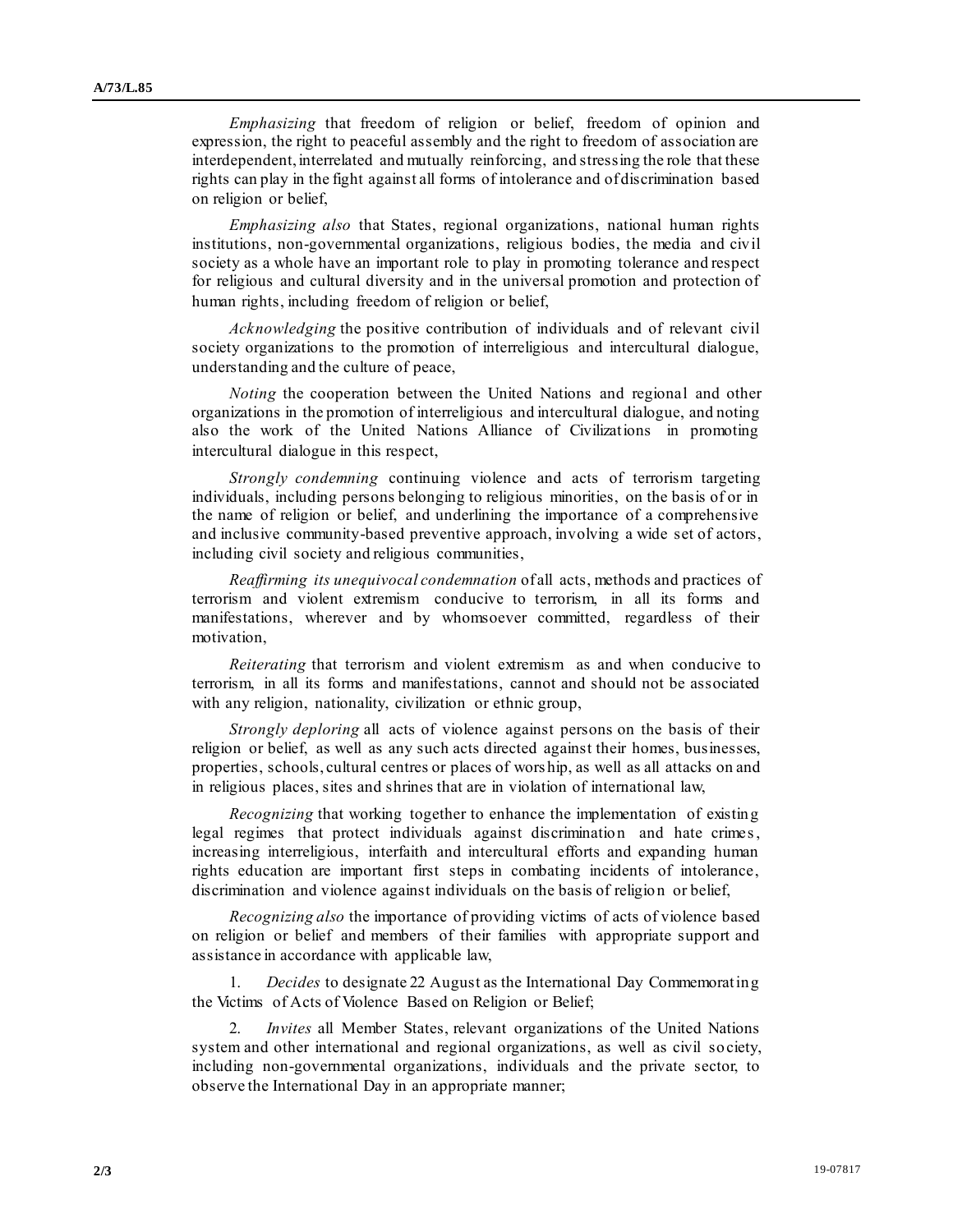*Emphasizing* that freedom of religion or belief, freedom of opinion and expression, the right to peaceful assembly and the right to freedom of association are interdependent, interrelated and mutually reinforcing, and stressing the role that these rights can play in the fight against all forms of intolerance and of discrimination based on religion or belief,

*Emphasizing also* that States, regional organizations, national human rights institutions, non-governmental organizations, religious bodies, the media and civil society as a whole have an important role to play in promoting tolerance and respect for religious and cultural diversity and in the universal promotion and protection of human rights, including freedom of religion or belief,

*Acknowledging* the positive contribution of individuals and of relevant civil society organizations to the promotion of interreligious and intercultural dialogue, understanding and the culture of peace,

*Noting* the cooperation between the United Nations and regional and other organizations in the promotion of interreligious and intercultural dialogue, and noting also the work of the United Nations Alliance of Civilizations in promoting intercultural dialogue in this respect,

*Strongly condemning* continuing violence and acts of terrorism targeting individuals, including persons belonging to religious minorities, on the basis of or in the name of religion or belief, and underlining the importance of a comprehensive and inclusive community-based preventive approach, involving a wide set of actors, including civil society and religious communities,

*Reaffirming its unequivocal condemnation* of all acts, methods and practices of terrorism and violent extremism conducive to terrorism, in all its forms and manifestations, wherever and by whomsoever committed, regardless of their motivation,

*Reiterating* that terrorism and violent extremism as and when conducive to terrorism, in all its forms and manifestations, cannot and should not be associated with any religion, nationality, civilization or ethnic group,

*Strongly deploring* all acts of violence against persons on the basis of their religion or belief, as well as any such acts directed against their homes, businesses, properties, schools, cultural centres or places of wors hip, as well as all attacks on and in religious places, sites and shrines that are in violation of international law,

*Recognizing* that working together to enhance the implementation of existing legal regimes that protect individuals against discrimination and hate crimes , increasing interreligious, interfaith and intercultural efforts and expanding human rights education are important first steps in combating incidents of intolerance, discrimination and violence against individuals on the basis of religion or belief,

*Recognizing also* the importance of providing victims of acts of violence based on religion or belief and members of their families with appropriate support and assistance in accordance with applicable law,

1. *Decides* to designate 22 August as the International Day Commemorating the Victims of Acts of Violence Based on Religion or Belief;

2. *Invites* all Member States, relevant organizations of the United Nations system and other international and regional organizations, as well as civil so ciety, including non-governmental organizations, individuals and the private sector, to observe the International Day in an appropriate manner;